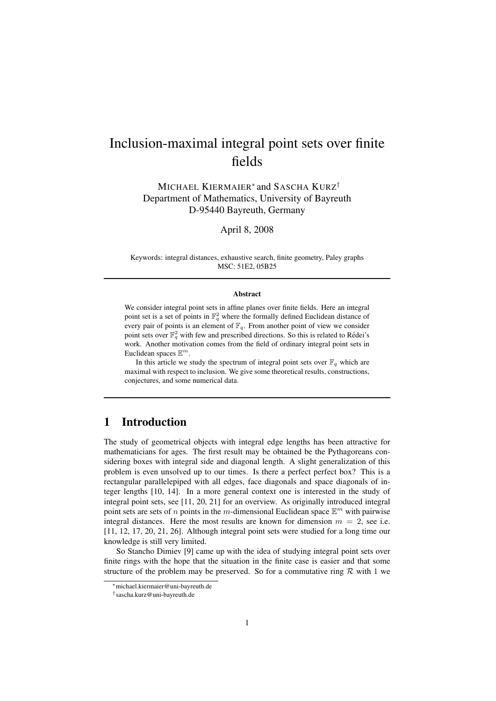# Inclusion-maximal integral point sets over finite fields

MICHAEL KIERMAIER<sup>\*</sup> and SASCHA KURZ<sup>†</sup> Department of Mathematics, University of Bayreuth D-95440 Bayreuth, Germany

April 8, 2008

Keywords: integral distances, exhaustive search, finite geometry, Paley graphs MSC: 51E2, 05B25

#### Abstract

We consider integral point sets in affine planes over finite fields. Here an integral point set is a set of points in  $\mathbb{F}_q^2$  where the formally defined Euclidean distance of every pair of points is an element of  $\mathbb{F}_q$ . From another point of view we consider point sets over  $\mathbb{F}_q^2$  with few and prescribed directions. So this is related to Rédei's work. Another motivation comes from the field of ordinary integral point sets in Euclidean spaces  $\mathbb{E}^m$ .

In this article we study the spectrum of integral point sets over  $\mathbb{F}_q$  which are maximal with respect to inclusion. We give some theoretical results, constructions, conjectures, and some numerical data.

# 1 Introduction

The study of geometrical objects with integral edge lengths has been attractive for mathematicians for ages. The first result may be obtained be the Pythagoreans considering boxes with integral side and diagonal length. A slight generalization of this problem is even unsolved up to our times. Is there a perfect perfect box? This is a rectangular parallelepiped with all edges, face diagonals and space diagonals of integer lengths [10, 14]. In a more general context one is interested in the study of integral point sets, see [11, 20, 21] for an overview. As originally introduced integral point sets are sets of *n* points in the *m*-dimensional Euclidean space  $\mathbb{E}^m$  with pairwise integral distances. Here the most results are known for dimension  $m = 2$ , see i.e. [11, 12, 17, 20, 21, 26]. Although integral point sets were studied for a long time our knowledge is still very limited.

So Stancho Dimiev [9] came up with the idea of studying integral point sets over finite rings with the hope that the situation in the finite case is easier and that some structure of the problem may be preserved. So for a commutative ring  $\mathcal R$  with 1 we

<sup>∗</sup>michael.kiermaier@uni-bayreuth.de

<sup>†</sup> sascha.kurz@uni-bayreuth.de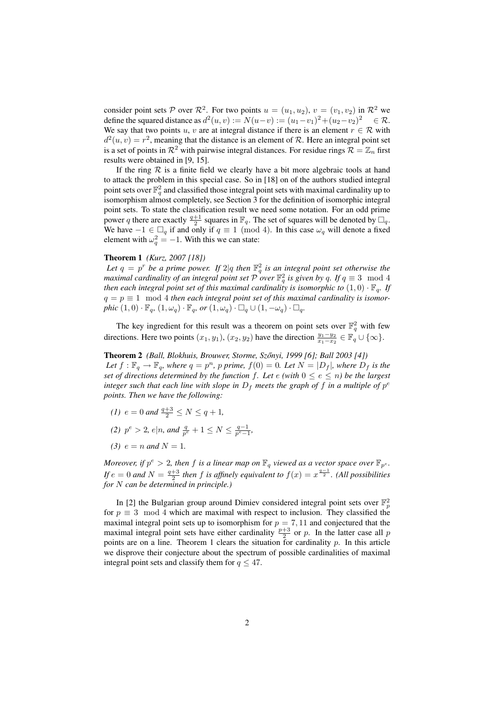consider point sets P over  $\mathcal{R}^2$ . For two points  $u = (u_1, u_2), v = (v_1, v_2)$  in  $\mathcal{R}^2$  we define the squared distance as  $d^2(u, v) := N(u-v) := (u_1 - v_1)^2 + (u_2 - v_2)^2 \quad \in \mathcal{R}$ . We say that two points u, v are at integral distance if there is an element  $r \in \mathcal{R}$  with  $d^2(u, v) = r^2$ , meaning that the distance is an element of R. Here an integral point set is a set of points in  $\mathcal{R}^2$  with pairwise integral distances. For residue rings  $\mathcal{R} = \mathbb{Z}_n$  first results were obtained in [9, 15].

If the ring  $\mathcal R$  is a finite field we clearly have a bit more algebraic tools at hand to attack the problem in this special case. So in [18] on of the authors studied integral point sets over  $\mathbb{F}_q^2$  and classified those integral point sets with maximal cardinality up to isomorphism almost completely, see Section 3 for the definition of isomorphic integral point sets. To state the classification result we need some notation. For an odd prime power q there are exactly  $\frac{q+1}{2}$  squares in  $\mathbb{F}_q$ . The set of squares will be denoted by  $\Box_q$ . We have  $-1 \in \Box_q$  if and only if  $q \equiv 1 \pmod{4}$ . In this case  $\omega_q$  will denote a fixed element with  $\omega_q^2 = -1$ . With this we can state:

#### Theorem 1 *(Kurz, 2007 [18])*

Let  $q = p^r$  be a prime power. If  $2|q$  then  $\mathbb{F}_q^2$  is an integral point set otherwise the *maximal cardinality of an integral point set*  $\overline{P}$  *over*  $\mathbb{F}_q^2$  *is given by* q. If  $q \equiv 3 \mod 4$ *then each integral point set of this maximal cardinality is isomorphic to*  $(1,0) \cdot \mathbb{F}_q$ . If  $q = p \equiv 1 \mod 4$  *then each integral point set of this maximal cardinality is isomorphic*  $(1,0) \cdot \mathbb{F}_q$ ,  $(1,\omega_q) \cdot \mathbb{F}_q$ , or  $(1,\omega_q) \cdot \square_q \cup (1,-\omega_q) \cdot \square_q$ .

The key ingredient for this result was a theorem on point sets over  $\mathbb{F}_q^2$  with few directions. Here two points  $(x_1, y_1)$ ,  $(x_2, y_2)$  have the direction  $\frac{y_1 - y_2}{x_1 - x_2} \in \mathbb{F}_q \cup \{\infty\}.$ 

Theorem 2 *(Ball, Blokhuis, Brouwer, Storme, Szonyi, 1999 [6]; Ball 2003 [4]) ˝* Let  $f : \mathbb{F}_q \to \mathbb{F}_q$ , where  $q = p^n$ , p prime,  $f(0) = 0$ . Let  $N = |D_f|$ , where  $D_f$  is the *set of directions determined by the function f. Let*  $e$  *(with*  $0 \leq e \leq n$ *) be the largest integer such that each line with slope in*  $D_f$  *meets the graph of*  $f$  *in a multiple of*  $p^e$ *points. Then we have the following:*

- *(1)*  $e = 0$  *and*  $\frac{q+3}{2} \leq N \leq q+1$ ,
- (2)  $p^e > 2$ ,  $e|n$ , and  $\frac{q}{p^e} + 1 \le N \le \frac{q-1}{p^e-1}$ ,
- *(3)*  $e = n$  *and*  $N = 1$ .

*Moreover, if*  $p^e > 2$ , then f is a linear map on  $\mathbb{F}_q$  viewed as a vector space over  $\mathbb{F}_{p^e}$ . *If*  $e = 0$  and  $N = \frac{q+3}{2}$  then f is affinely equivalent to  $f(x) = x^{\frac{q-1}{2}}$ . (All possibilities *for* N *can be determined in principle.)*

In [2] the Bulgarian group around Dimiev considered integral point sets over  $\mathbb{F}_p^2$ for  $p \equiv 3 \mod 4$  which are maximal with respect to inclusion. They classified the maximal integral point sets up to isomorphism for  $p = 7, 11$  and conjectured that the maximal integral point sets have either cardinality  $\frac{p+3}{2}$  or p. In the latter case all p points are on a line. Theorem 1 clears the situation for cardinality  $p$ . In this article we disprove their conjecture about the spectrum of possible cardinalities of maximal integral point sets and classify them for  $q \leq 47$ .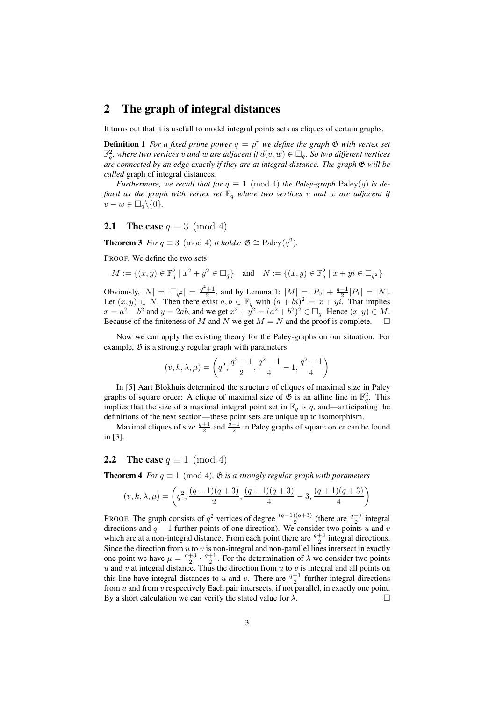## 2 The graph of integral distances

It turns out that it is usefull to model integral points sets as cliques of certain graphs.

**Definition 1** For a fixed prime power  $q = p^r$  we define the graph  $\mathfrak{G}$  with vertex set  $\mathbb{F}_q^2$ , where two vertices v and w are adjacent if  $d(v, w) \in \Box_q$ . So two different vertices *are connected by an edge exactly if they are at integral distance. The graph* G *will be called* graph of integral distances*.*

*Furthermore, we recall that for*  $q \equiv 1 \pmod{4}$  *the Paley-graph* Paley $(q)$  *is defined as the graph with vertex set*  $\mathbb{F}_q$  *where two vertices* v and w are adjacent if  $v - w \in \Box_q \backslash \{0\}.$ 

### **2.1** The case  $q \equiv 3 \pmod{4}$

**Theorem 3** *For*  $q \equiv 3 \pmod{4}$  *it holds:*  $\mathfrak{G} \cong \text{Paley}(q^2)$ *.* 

PROOF. We define the two sets

$$
M:=\{(x,y)\in\mathbb{F}_q^2\mid x^2+y^2\in \square_q\}\quad\text{and}\quad N:=\{(x,y)\in\mathbb{F}_q^2\mid x+yi\in \square_{q^2}\}
$$

Obviously,  $|N| = |\Box_{q^2}| = \frac{q^2+1}{2}$ , and by Lemma 1:  $|M| = |P_0| + \frac{q-1}{2}|P_1| = |N|$ . Let  $(x, y) \in N$ . Then there exist  $a, b \in \mathbb{F}_q$  with  $(a + bi)^2 = x + yi$ . That implies  $x = a^2 - b^2$  and  $y = 2ab$ , and we get  $x^2 + y^2 = (a^2 + b^2)^2 \in \Box_q$ . Hence  $(x, y) \in M$ . Because of the finiteness of M and N we get  $M = N$  and the proof is complete.  $\square$ 

Now we can apply the existing theory for the Paley-graphs on our situation. For example,  $\mathfrak G$  is a strongly regular graph with parameters

$$
(v,k,\lambda,\mu)=\left(q^2,\frac{q^2-1}{2},\frac{q^2-1}{4}-1,\frac{q^2-1}{4}\right)
$$

In [5] Aart Blokhuis determined the structure of cliques of maximal size in Paley graphs of square order: A clique of maximal size of  $\mathfrak G$  is an affine line in  $\mathbb F_q^2$ . This implies that the size of a maximal integral point set in  $\mathbb{F}_q$  is q, and—anticipating the definitions of the next section—these point sets are unique up to isomorphism.

Maximal cliques of size  $\frac{q+1}{2}$  and  $\frac{q-1}{2}$  in Paley graphs of square order can be found in [3].

### **2.2** The case  $q \equiv 1 \pmod{4}$

**Theorem 4** *For*  $q \equiv 1 \pmod{4}$ ,  $\mathfrak{G}$  *is a strongly regular graph with parameters* 

$$
(v,k,\lambda,\mu) = \left(q^2, \frac{(q-1)(q+3)}{2}, \frac{(q+1)(q+3)}{4} - 3, \frac{(q+1)(q+3)}{4}\right)
$$

PROOF. The graph consists of  $q^2$  vertices of degree  $\frac{(q-1)(q+3)}{2}$  (there are  $\frac{q+3}{2}$  integral directions and  $q - 1$  further points of one direction). We consider two points u and v which are at a non-integral distance. From each point there are  $\frac{q+3}{2}$  integral directions. Since the direction from  $u$  to  $v$  is non-integral and non-parallel lines intersect in exactly one point we have  $\mu = \frac{q+3}{2} \cdot \frac{q+1}{2}$ . For the determination of  $\lambda$  we consider two points u and v at integral distance. Thus the direction from  $u$  to  $v$  is integral and all points on this line have integral distances to u and v. There are  $\frac{q+1}{2}$  further integral directions from  $u$  and from  $v$  respectively Each pair intersects, if not parallel, in exactly one point. By a short calculation we can verify the stated value for  $\lambda$ .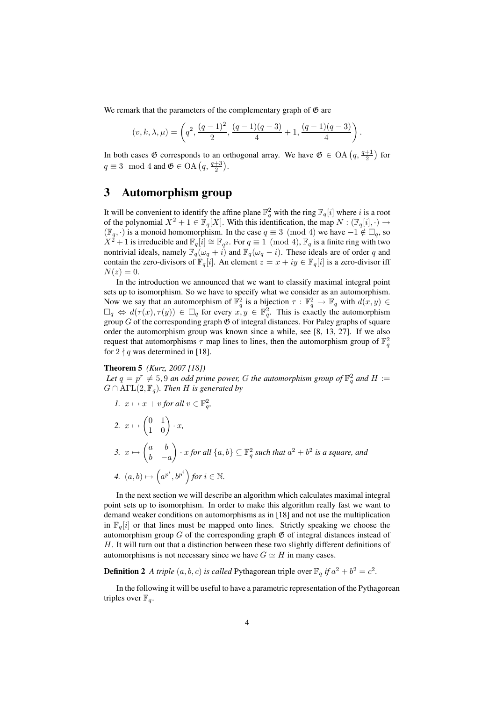We remark that the parameters of the complementary graph of  $\mathfrak G$  are

$$
(v,k,\lambda,\mu) = \left(q^2, \frac{(q-1)^2}{2}, \frac{(q-1)(q-3)}{4} + 1, \frac{(q-1)(q-3)}{4}\right).
$$

In both cases  $\mathfrak G$  corresponds to an orthogonal array. We have  $\mathfrak G \in$  OA  $\left(q, \frac{q+1}{2}\right)$  for  $q \equiv 3 \mod 4$  and  $\mathfrak{G} \in \text{OA}\left(q, \frac{q+3}{2}\right)$ .

## 3 Automorphism group

It will be convenient to identify the affine plane  $\mathbb{F}_q^2$  with the ring  $\mathbb{F}_q[i]$  where i is a root of the polynomial  $X^2 + 1 \in \mathbb{F}_q[X]$ . With this identification, the map  $N : (\mathbb{F}_q[i], \cdot) \to$  $(\mathbb{F}_q, \cdot)$  is a monoid homomorphism. In the case  $q \equiv 3 \pmod{4}$  we have  $-1 \notin \square_q$ , so  $X^2 + 1$  is irreducible and  $\mathbb{F}_q[i] \cong \mathbb{F}_{q^2}$ . For  $q \equiv 1 \pmod{4}$ ,  $\mathbb{F}_q$  is a finite ring with two nontrivial ideals, namely  $\mathbb{F}_q(\omega_q + i)$  and  $\mathbb{F}_q(\omega_q - i)$ . These ideals are of order q and contain the zero-divisors of  $\mathbb{F}_q[i]$ . An element  $z = x + iy \in \mathbb{F}_q[i]$  is a zero-divisor iff  $N(z)=0$ .

In the introduction we announced that we want to classify maximal integral point sets up to isomorphism. So we have to specify what we consider as an automorphism. Now we say that an automorphism of  $\mathbb{F}_q^2$  is a bijection  $\tau : \mathbb{F}_q^2 \to \mathbb{F}_q$  with  $d(x, y) \in$  $\Box_q \Leftrightarrow d(\tau(x), \tau(y)) \in \Box_q$  for every  $x, y \in \mathbb{F}_q^2$ . This is exactly the automorphism group  $G$  of the corresponding graph  $\mathfrak G$  of integral distances. For Paley graphs of square order the automorphism group was known since a while, see [8, 13, 27]. If we also request that automorphisms  $\tau$  map lines to lines, then the automorphism group of  $\mathbb{F}_q^2$ for  $2 \nmid q$  was determined in [18].

Theorem 5 *(Kurz, 2007 [18])*

Let  $q = p^r \neq 5, 9$  an odd prime power, G the automorphism group of  $\mathbb{F}_q^2$  and  $H :=$  $G \cap \text{ATL}(2, \mathbb{F}_q)$ *. Then H is generated by* 

1. 
$$
x \mapsto x + v
$$
 for all  $v \in \mathbb{F}_q^2$ ,  
\n2.  $x \mapsto \begin{pmatrix} 0 & 1 \\ 1 & 0 \end{pmatrix} \cdot x$ ,  
\n3.  $x \mapsto \begin{pmatrix} a & b \\ b & -a \end{pmatrix} \cdot x$  for all  $\{a, b\} \subseteq \mathbb{F}_q^2$  such that  $a^2 + b^2$  is a square, and  
\n4.  $(a, b) \mapsto (a^{p^i}, b^{p^i})$  for  $i \in \mathbb{N}$ .

In the next section we will describe an algorithm which calculates maximal integral point sets up to isomorphism. In order to make this algorithm really fast we want to demand weaker conditions on automorphisms as in [18] and not use the multiplication in  $\mathbb{F}_q[i]$  or that lines must be mapped onto lines. Strictly speaking we choose the automorphism group  $G$  of the corresponding graph  $\mathfrak G$  of integral distances instead of  $H$ . It will turn out that a distinction between these two slightly different definitions of automorphisms is not necessary since we have  $G \simeq H$  in many cases.

**Definition 2** A triple  $(a, b, c)$  is called Pythagorean triple over  $\mathbb{F}_q$  if  $a^2 + b^2 = c^2$ .

In the following it will be useful to have a parametric representation of the Pythagorean triples over  $\mathbb{F}_q$ .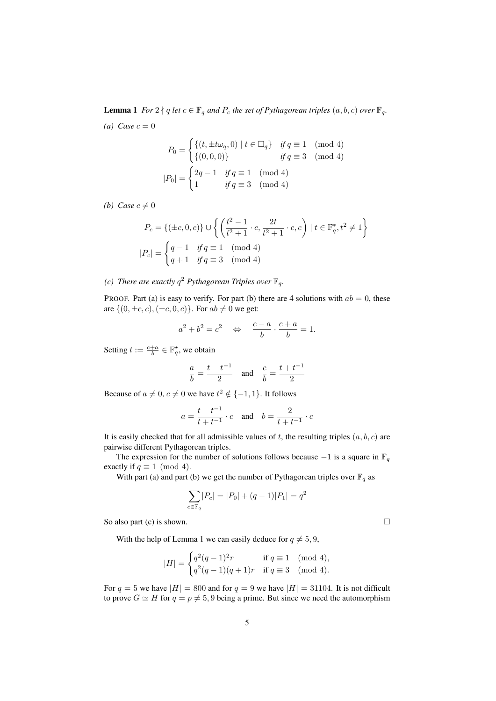**Lemma 1** *For*  $2 \nmid q$  *let*  $c \in \mathbb{F}_q$  *and*  $P_c$  *the set of Pythagorean triples*  $(a, b, c)$  *over*  $\mathbb{F}_q$ *.*  $(a) Case c = 0$ 

$$
P_0 = \begin{cases} \{(t, \pm t\omega_q, 0) \mid t \in \Box_q\} & \text{if } q \equiv 1 \pmod{4} \\ \{(0, 0, 0)\} & \text{if } q \equiv 3 \pmod{4} \\ |P_0| = \begin{cases} 2q - 1 & \text{if } q \equiv 1 \pmod{4} \\ 1 & \text{if } q \equiv 3 \pmod{4} \end{cases} \end{cases}
$$

*(b)* Case  $c \neq 0$ 

$$
P_c = \{ (\pm c, 0, c) \} \cup \left\{ \left( \frac{t^2 - 1}{t^2 + 1} \cdot c, \frac{2t}{t^2 + 1} \cdot c, c \right) \mid t \in \mathbb{F}_q^*, t^2 \neq 1 \right\}
$$
  

$$
|P_c| = \begin{cases} q - 1 & \text{if } q \equiv 1 \pmod{4} \\ q + 1 & \text{if } q \equiv 3 \pmod{4} \end{cases}
$$

*(c)* There are exactly  $q^2$  Pythagorean Triples over  $\mathbb{F}_q$ .

PROOF. Part (a) is easy to verify. For part (b) there are 4 solutions with  $ab = 0$ , these are  $\{(0, \pm c, c), (\pm c, 0, c)\}.$  For  $ab \neq 0$  we get:

$$
a^2 + b^2 = c^2 \quad \Leftrightarrow \quad \frac{c-a}{b} \cdot \frac{c+a}{b} = 1.
$$

Setting  $t := \frac{c+a}{b} \in \mathbb{F}_q^*$ , we obtain

$$
rac{a}{b} = \frac{t - t^{-1}}{2}
$$
 and  $rac{c}{b} = \frac{t + t^{-1}}{2}$ 

Because of  $a \neq 0, c \neq 0$  we have  $t^2 \notin \{-1, 1\}$ . It follows

$$
a = \frac{t - t^{-1}}{t + t^{-1}} \cdot c
$$
 and  $b = \frac{2}{t + t^{-1}} \cdot c$ 

It is easily checked that for all admissible values of t, the resulting triples  $(a, b, c)$  are pairwise different Pythagorean triples.

The expression for the number of solutions follows because  $-1$  is a square in  $\mathbb{F}_q$ exactly if  $q \equiv 1 \pmod{4}$ .

With part (a) and part (b) we get the number of Pythagorean triples over  $\mathbb{F}_q$  as

$$
\sum_{c \in \mathbb{F}_q} |P_c| = |P_0| + (q - 1)|P_1| = q^2
$$

So also part (c) is shown.  $\Box$ 

With the help of Lemma 1 we can easily deduce for  $q \neq 5, 9$ ,

$$
|H| = \begin{cases} q^2(q-1)^2r & \text{if } q \equiv 1 \pmod{4}, \\ q^2(q-1)(q+1)r & \text{if } q \equiv 3 \pmod{4}. \end{cases}
$$

For  $q = 5$  we have  $|H| = 800$  and for  $q = 9$  we have  $|H| = 31104$ . It is not difficult to prove  $G \simeq H$  for  $q = p \neq 5, 9$  being a prime. But since we need the automorphism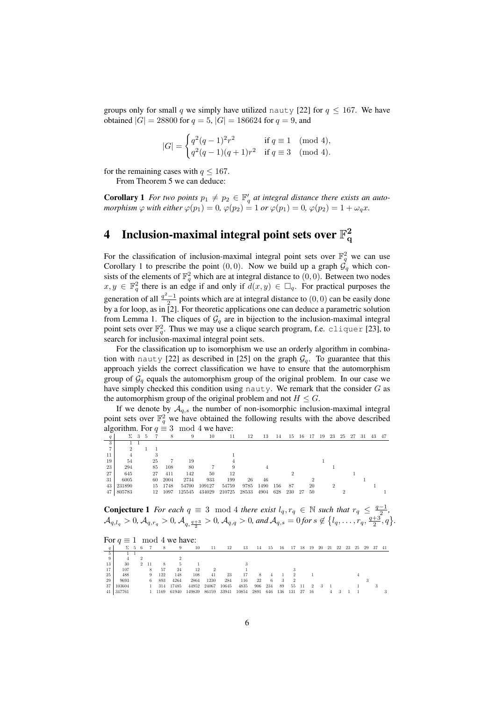groups only for small q we simply have utilized nauty [22] for  $q \le 167$ . We have obtained  $|G| = 28800$  for  $q = 5$ ,  $|G| = 186624$  for  $q = 9$ , and

$$
|G| = \begin{cases} q^2(q-1)^2 r^2 & \text{if } q \equiv 1 \pmod{4}, \\ q^2(q-1)(q+1)r^2 & \text{if } q \equiv 3 \pmod{4}. \end{cases}
$$

for the remaining cases with  $q \leq 167$ .

From Theorem 5 we can deduce:

**Corollary 1** For two points  $p_1 \neq p_2 \in \mathbb{F}_q'$  at integral distance there exists an auto*morphism*  $\varphi$  *with either*  $\varphi(p_1) = 0$ ,  $\varphi(p_2) = 1$  *or*  $\varphi(p_1) = 0$ ,  $\varphi(p_2) = 1 + \omega_q x$ .

#### 4 Inclusion-maximal integral point sets over  $\mathbb{F}_\alpha^2$ q

For the classification of inclusion-maximal integral point sets over  $\mathbb{F}_q^2$  we can use Corollary 1 to prescribe the point  $(0, 0)$ . Now we build up a graph  $\mathcal{G}_q$  which consists of the elements of  $\mathbb{F}_q^2$  which are at integral distance to  $(0,0)$ . Between two nodes  $x, y \in \mathbb{F}_q^2$  there is an edge if and only if  $d(x, y) \in \Box_q$ . For practical purposes the generation of all  $\frac{q^2-1}{2}$  points which are at integral distance to  $(0,0)$  can be easily done by a for loop, as in [2]. For theoretic applications one can deduce a parametric solution from Lemma 1. The cliques of  $\mathcal{G}_q$  are in bijection to the inclusion-maximal integral point sets over  $\mathbb{F}_q^2$ . Thus we may use a clique search program, f.e. cliquer [23], to search for inclusion-maximal integral point sets.

For the classification up to isomorphism we use an orderly algorithm in combination with nauty [22] as described in [25] on the graph  $\mathcal{G}_q$ . To guarantee that this approach yields the correct classification we have to ensure that the automorphism group of  $\mathcal{G}_q$  equals the automorphism group of the original problem. In our case we have simply checked this condition using nauty. We remark that the consider  $G$  as the automorphism group of the original problem and not  $H \leq G$ .

If we denote by  $A_{q,s}$  the number of non-isomorphic inclusion-maximal integral point sets over  $\mathbb{F}_q^2$  we have obtained the following results with the above described algorithm. For  $q \equiv 3 \mod 4$  we have:

|    | Σ      | 3 | -5 |     | 8    | 9      | 10     | 11     | 12    | 13   | 14  | 15  | 16 | -17 | 19 | 23 | 25 | -27 | -31 | 43 | 47 |
|----|--------|---|----|-----|------|--------|--------|--------|-------|------|-----|-----|----|-----|----|----|----|-----|-----|----|----|
| 3  |        |   |    |     |      |        |        |        |       |      |     |     |    |     |    |    |    |     |     |    |    |
|    |        |   |    |     |      |        |        |        |       |      |     |     |    |     |    |    |    |     |     |    |    |
| 11 |        |   |    |     |      |        |        |        |       |      |     |     |    |     |    |    |    |     |     |    |    |
| 19 | 54     |   |    | 25  |      | 19     |        |        |       |      |     |     |    |     |    |    |    |     |     |    |    |
| 23 | 294    |   |    | 85  | 108  | 80     |        |        |       |      |     |     |    |     |    |    |    |     |     |    |    |
| 27 | 645    |   |    | 27  | 411  | 142    | 50     | 12     |       |      |     |     |    |     |    |    |    |     |     |    |    |
| 31 | 6005   |   |    | 60  | 2004 | 2734   | 933    | 199    | 26    | 46   |     |     |    |     |    |    |    |     |     |    |    |
| 43 | 231890 |   |    | 15. | 1748 | 54700  | 109127 | 54759  | 9785  | 1490 | 156 | 87  |    | 20  |    | ച  |    |     |     |    |    |
| 47 | 805783 |   |    | 12  | 1097 | 125545 | 434029 | 210725 | 28533 | 4904 | 628 | 230 | 27 | -50 |    |    |    |     |     |    |    |

**Conjecture 1** For each  $q \equiv 3 \mod 4$  there exist  $l_q, r_q \in \mathbb{N}$  such that  $r_q \leq \frac{q-1}{2}$ ,  $\mathcal{A}_{q,l_q} > 0$ ,  $\mathcal{A}_{q,r_q} > 0$ ,  $\mathcal{A}_{q,\frac{q+3}{2}} > 0$ ,  $\mathcal{A}_{q,q} > 0$ , and  $\mathcal{A}_{q,s} = 0$  for  $s \notin \{l_q, \ldots, r_q, \frac{q+3}{2}, q\}$ .

| For $q \equiv 1 \mod 4$ we have: |  |  |  |
|----------------------------------|--|--|--|
|----------------------------------|--|--|--|

|                 | ΣΞ     | -5 - 6 |      |      | 9     | 10     | 11    | 12    | 13    | 14   | 15  | 16  | 17     | 18   | 19   | 20 | -21 | 22 | - 23 | 25 | 29 | -37 | -41 |
|-----------------|--------|--------|------|------|-------|--------|-------|-------|-------|------|-----|-----|--------|------|------|----|-----|----|------|----|----|-----|-----|
| 5               |        |        |      |      |       |        |       |       |       |      |     |     |        |      |      |    |     |    |      |    |    |     |     |
| 9               |        |        |      |      |       |        |       |       |       |      |     |     |        |      |      |    |     |    |      |    |    |     |     |
| 13              | 30     | $^{2}$ | - 11 |      |       |        |       |       |       |      |     |     |        |      |      |    |     |    |      |    |    |     |     |
| 17              | 107    |        | 8    | 57   | 24    | 12     |       |       |       |      |     |     |        |      |      |    |     |    |      |    |    |     |     |
| 25              | 488    |        | 9    | 122  | 148   | 108    | 41    | 23    | 17    |      |     |     |        |      |      |    |     |    |      |    |    |     |     |
| 29              | 9693   |        | 6    | 893  | 4264  | 2864   | 1230  | 284   | 116   | 22   |     |     | -2     |      |      |    |     |    |      |    |    |     |     |
| 37              | 103604 |        |      | 314  | 17485 | 44952  | 24067 | 10645 | 4835  | 906  | 234 | 89  | 55     | - 11 | -2   |    |     |    |      |    |    |     |     |
| 41 <sup>1</sup> | 347761 |        |      | 1169 | 61940 | 149839 | 86159 | 33941 | 10854 | 2891 | 646 | 136 | 131 27 |      | - 16 |    |     |    |      |    |    |     |     |
|                 |        |        |      |      |       |        |       |       |       |      |     |     |        |      |      |    |     |    |      |    |    |     |     |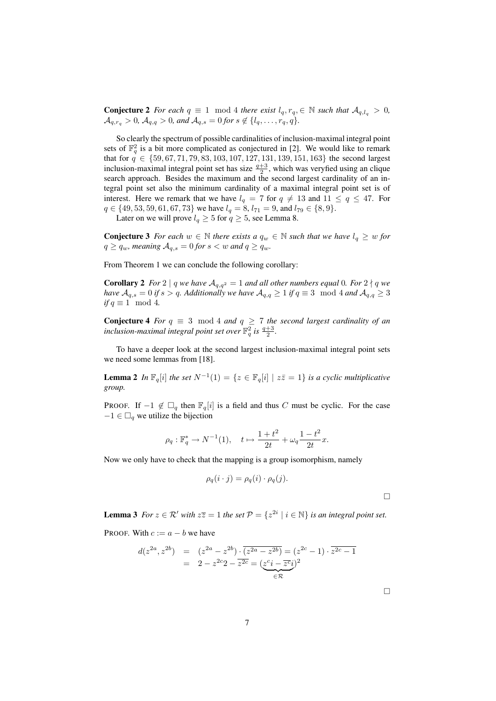**Conjecture 2** *For each*  $q \equiv 1 \mod 4$  *there exist*  $l_q, r_q, \in \mathbb{N}$  *such that*  $\mathcal{A}_{q,l_q} > 0$ *,*  $\mathcal{A}_{q,r_q} > 0$ ,  $\mathcal{A}_{q,q} > 0$ , and  $\mathcal{A}_{q,s} = 0$  for  $s \notin \{l_q, \ldots, r_q, q\}.$ 

So clearly the spectrum of possible cardinalities of inclusion-maximal integral point sets of  $\mathbb{F}_q^2$  is a bit more complicated as conjectured in [2]. We would like to remark that for  $q \in \{59, 67, 71, 79, 83, 103, 107, 127, 131, 139, 151, 163\}$  the second largest inclusion-maximal integral point set has size  $\frac{q+3}{2}$ , which was veryfied using an clique search approach. Besides the maximum and the second largest cardinality of an integral point set also the minimum cardinality of a maximal integral point set is of interest. Here we remark that we have  $l_q = 7$  for  $q \neq 13$  and  $11 \leq q \leq 47$ . For  $q \in \{49, 53, 59, 61, 67, 73\}$  we have  $l_q = 8$ ,  $l_{71} = 9$ , and  $l_{79} \in \{8, 9\}$ .

Later on we will prove  $l_q \geq 5$  for  $q \geq 5$ , see Lemma 8.

**Conjecture 3** *For each*  $w \in \mathbb{N}$  *there exists a*  $q_w \in \mathbb{N}$  *such that we have*  $l_q \geq w$  *for*  $q \ge q_w$ , meaning  $A_{q,s} = 0$  for  $s < w$  and  $q \ge q_w$ .

From Theorem 1 we can conclude the following corollary:

**Corollary 2** *For* 2 | q *we have*  $A_{q,q^2} = 1$  *and all other numbers equal* 0*. For* 2 | q *we have*  $A_{q,s} = 0$  *if*  $s > q$ *. Additionally we have*  $A_{q,q} \geq 1$  *if*  $q \equiv 3 \mod 4$  *and*  $A_{q,q} \geq 3$ *if*  $q \equiv 1 \mod 4$ .

**Conjecture 4** *For*  $q \equiv 3 \mod 4$  *and*  $q \ge 7$  *the second largest cardinality of an inclusion-maximal integral point set over*  $\mathbb{F}_q^2$  *is*  $\frac{q+3}{2}$ *.* 

To have a deeper look at the second largest inclusion-maximal integral point sets we need some lemmas from [18].

**Lemma 2** In  $\mathbb{F}_q[i]$  the set  $N^{-1}(1) = \{z \in \mathbb{F}_q[i] \mid z\overline{z} = 1\}$  is a cyclic multiplicative *group.*

PROOF. If  $-1 \notin \Box_a$  then  $\mathbb{F}_a[i]$  is a field and thus C must be cyclic. For the case  $-1 \in \Box_a$  we utilize the bijection

$$
\rho_q : \mathbb{F}_q^* \to N^{-1}(1), \quad t \mapsto \frac{1+t^2}{2t} + \omega_q \frac{1-t^2}{2t} x.
$$

Now we only have to check that the mapping is a group isomorphism, namely

$$
\rho_q(i \cdot j) = \rho_q(i) \cdot \rho_q(j).
$$

 $\Box$ 

**Lemma 3** *For*  $z \in \mathbb{R}'$  *with*  $z\overline{z} = 1$  *the set*  $\mathcal{P} = \{z^{2i} \mid i \in \mathbb{N}\}$  *is an integral point set.* 

PROOF. With  $c := a - b$  we have

$$
d(z^{2a}, z^{2b}) = (z^{2a} - z^{2b}) \cdot \overline{(z^{2a} - z^{2b})} = (z^{2c} - 1) \cdot \overline{z^{2c} - 1}
$$
  
= 2 - z<sup>2c</sup>2 - \overline{z^{2c}} = (\underline{z^{c}i - \overline{z^{c}i}})^2  
\in \mathcal{R}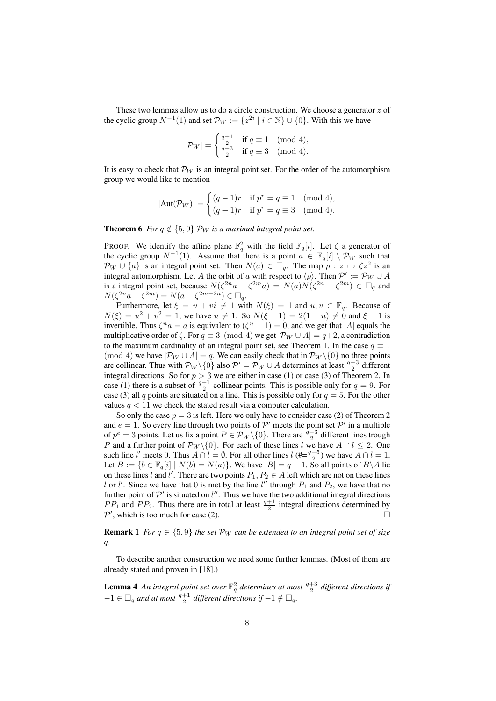These two lemmas allow us to do a circle construction. We choose a generator  $z$  of the cyclic group  $N^{-1}(1)$  and set  $\mathcal{P}_W := \{z^{2i} \mid i \in \mathbb{N}\} \cup \{0\}$ . With this we have

$$
|\mathcal{P}_W| = \begin{cases} \frac{q+1}{2} & \text{if } q \equiv 1 \pmod{4}, \\ \frac{q+3}{2} & \text{if } q \equiv 3 \pmod{4}. \end{cases}
$$

It is easy to check that  $\mathcal{P}_W$  is an integral point set. For the order of the automorphism group we would like to mention

$$
|\text{Aut}(\mathcal{P}_W)| = \begin{cases} (q-1)r & \text{if } p^r = q \equiv 1 \pmod{4}, \\ (q+1)r & \text{if } p^r = q \equiv 3 \pmod{4}. \end{cases}
$$

**Theorem 6** *For*  $q \notin \{5, 9\}$  *P<sub>W</sub> is a maximal integral point set.* 

PROOF. We identify the affine plane  $\mathbb{F}_q^2$  with the field  $\mathbb{F}_q[i]$ . Let  $\zeta$  a generator of the cyclic group  $N^{-1}(1)$ . Assume that there is a point  $a \in \mathbb{F}_q[i] \setminus \mathcal{P}_W$  such that  $\mathcal{P}_W \cup \{a\}$  is an integral point set. Then  $N(a) \in \Box_q$ . The map  $\rho : z \mapsto \zeta z^2$  is an integral automorphism. Let A the orbit of a with respect to  $\langle \rho \rangle$ . Then  $\mathcal{P}' := \mathcal{P}_W \cup A$ is a integral point set, because  $N(\zeta^{2n}a - \zeta^{2m}a) = N(a)N(\zeta^{2n} - \zeta^{2m}) \in \Box_q$  and  $N(\zeta^{2n}a - \zeta^{2m}) = N(a - \zeta^{2m-2n}) \in \Box_q.$ 

Furthermore, let  $\xi = u + vi \neq 1$  with  $N(\xi) = 1$  and  $u, v \in \mathbb{F}_q$ . Because of  $N(\xi) = u^2 + v^2 = 1$ , we have  $u \neq 1$ . So  $N(\xi - 1) = 2(1 - u) \neq 0$  and  $\xi - 1$  is invertible. Thus  $\zeta^n a = a$  is equivalent to  $(\zeta^n - 1) = 0$ , and we get that |A| equals the multiplicative order of  $\zeta$ . For  $q \equiv 3 \pmod{4}$  we get  $|\mathcal{P}_W \cup A| = q+2$ , a contradiction to the maximum cardinality of an integral point set, see Theorem 1. In the case  $q \equiv 1$ (mod 4) we have  $|\mathcal{P}_W \cup A| = q$ . We can easily check that in  $\mathcal{P}_W \setminus \{0\}$  no three points are collinear. Thus with  $\mathcal{P}_W \setminus \{0\}$  also  $\mathcal{P}' = \mathcal{P}_W \cup A$  determines at least  $\frac{q-3}{2}$  different integral directions. So for  $p > 3$  we are either in case (1) or case (3) of Theorem 2. In case (1) there is a subset of  $\frac{q+1}{2}$  collinear points. This is possible only for  $q = 9$ . For case (3) all q points are situated on a line. This is possible only for  $q = 5$ . For the other values  $q < 11$  we check the stated result via a computer calculation.

So only the case  $p = 3$  is left. Here we only have to consider case (2) of Theorem 2 and  $e = 1$ . So every line through two points of  $\mathcal{P}'$  meets the point set  $\mathcal{P}'$  in a multiple of  $p^e = 3$  points. Let us fix a point  $P \in \mathcal{P}_W \setminus \{0\}$ . There are  $\frac{\bar{q}-3}{2}$  different lines trough P and a further point of  $\mathcal{P}_W \setminus \{0\}$ . For each of these lines l we have  $A \cap l \leq 2$ . One such line l' meets 0. Thus  $A \cap l = \emptyset$ . For all other lines  $l$  (#= $\frac{q-5}{2}$ ) we have  $A \cap l = 1$ . Let  $B := \{b \in \mathbb{F}_q[i] \mid N(b) = N(a)\}\.$  We have  $|B| = q - 1$ . So all points of  $B \setminus A$  lie on these lines l and l'. There are two points  $P_1, P_2 \in A$  left which are not on these lines l or l'. Since we have that 0 is met by the line  $l''$  through  $P_1$  and  $P_2$ , we have that no further point of  $\mathcal{P}'$  is situated on l''. Thus we have the two additional integral directions  $\overline{PP_1}$  and  $\overline{PP_2}$ . Thus there are in total at least  $\frac{q+1}{2}$  integral directions determined by  $\mathcal{P}'$ , which is too much for case (2).

**Remark 1** *For*  $q \in \{5, 9\}$  *the set*  $\mathcal{P}_W$  *can be extended to an integral point set of size* q*.*

To describe another construction we need some further lemmas. (Most of them are already stated and proven in [18].)

**Lemma 4** An integral point set over  $\mathbb{F}_q^2$  determines at most  $\frac{q+3}{2}$  different directions if  $-1 \in \Box_q$  and at most  $\frac{q+1}{2}$  different directions if  $-1 \notin \Box_q$ .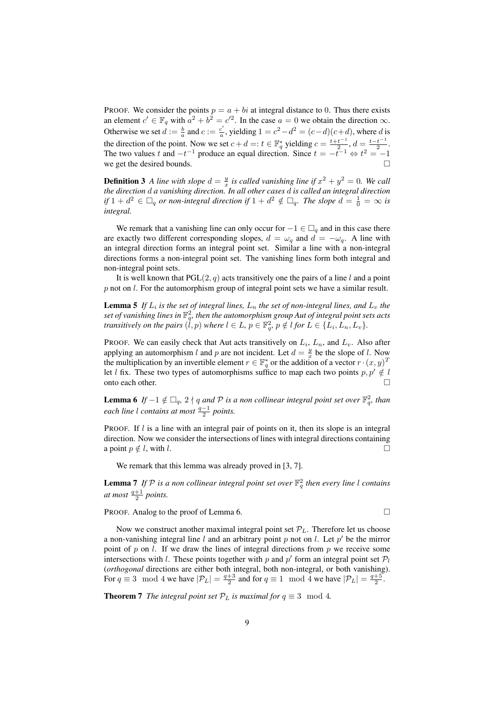PROOF. We consider the points  $p = a + bi$  at integral distance to 0. Thus there exists an element  $c' \in \mathbb{F}_q$  with  $a^2 + b^2 = c'^2$ . In the case  $a = 0$  we obtain the direction  $\infty$ . Otherwise we set  $d := \frac{b}{a}$  and  $c := \frac{c'}{a}$ , yielding  $1 = c^2 - d^2 = (c - d)(c + d)$ , where d is but which we set  $a := a$ ,  $a$ ,  $b$  becoming  $f = c$  and  $f = c$  and  $f = c$  and  $f = c$  and  $f = c$  and  $f = c$  and  $f = c$  and  $f = c$  and  $f = c$  and  $f = c$  and  $f = c$  and  $f = c$  and  $f = c$  and  $f = c$  and  $f = c$  and  $f = c$  and  $f = c$  and  $f = c$  and  $\frac{t^{-1}}{2}$ ,  $d = \frac{t - t^{-1}}{2}$  $rac{t}{2}$ . The two values t and  $-t^{-1}$  produce an equal direction. Since  $t = -t^{-1} \Leftrightarrow t^2 = -1$ we get the desired bounds.

**Definition 3** *A line with slope*  $d = \frac{y}{x}$  *is called vanishing line if*  $x^2 + y^2 = 0$ *. We call the direction* d *a vanishing direction. In all other cases* d *is called an integral direction if*  $1 + d^2 \in \Box_q$  *or non-integral direction if*  $1 + d^2 \notin \Box_q$ *. The slope*  $d = \frac{1}{0} = \infty$  *is integral.*

We remark that a vanishing line can only occur for  $-1 \in \Box_q$  and in this case there are exactly two different corresponding slopes,  $d = \omega_q$  and  $d = -\omega_q$ . A line with an integral direction forms an integral point set. Similar a line with a non-integral directions forms a non-integral point set. The vanishing lines form both integral and non-integral point sets.

It is well known that  $PGL(2, q)$  acts transitively one the pairs of a line l and a point  $p$  not on  $l$ . For the automorphism group of integral point sets we have a similar result.

**Lemma 5** If  $L_i$  is the set of integral lines,  $L_n$  the set of non-integral lines, and  $L_v$  the set of vanishing lines in  $\mathbb{F}_{q}^2$ , then the automorphism group Aut of integral point sets acts *transitively on the pairs*  $(\dot{l}, p)$  *where*  $l \in L$ ,  $p \in \mathbb{F}_q^2$ ,  $p \notin l$  for  $L \in \{L_i, L_n, L_v\}$ .

PROOF. We can easily check that Aut acts transitively on  $L_i$ ,  $L_n$ , and  $L_v$ . Also after applying an automorphism l and p are not incident. Let  $d = \frac{y}{x}$  be the slope of l. Now the multiplication by an invertible element  $r \in \mathbb{F}_q^*$  or the addition of a vector  $r \cdot (x, y)^T$ let l fix. These two types of automorphisms suffice to map each two points  $p, p' \notin l$ onto each other.

**Lemma 6** If  $-1 \notin \Box_q$ ,  $2 \nmid q$  and  $\mathcal P$  is a non collinear integral point set over  $\mathbb F_q^2$ , than *each line l contains at most*  $\frac{q-1}{2}$  *points.* 

PROOF. If  $l$  is a line with an integral pair of points on it, then its slope is an integral direction. Now we consider the intersections of lines with integral directions containing a point  $p \notin l$ , with l.

We remark that this lemma was already proved in [3, 7].

**Lemma 7** If  $P$  is a non collinear integral point set over  $\mathbb{F}_q^2$  then every line l contains *at most*  $\frac{q+1}{2}$  *points.* 

PROOF. Analog to the proof of Lemma 6.

Now we construct another maximal integral point set  $P_L$ . Therefore let us choose a non-vanishing integral line  $l$  and an arbitrary point  $p$  not on  $l$ . Let  $p'$  be the mirror point of p on l. If we draw the lines of integral directions from p we receive some intersections with l. These points together with p and p' form an integral point set  $P_l$ (*orthogonal* directions are either both integral, both non-integral, or both vanishing). For  $q \equiv 3 \mod 4$  we have  $|\mathcal{P}_L| = \frac{q+3}{2}$  and for  $q \equiv 1 \mod 4$  we have  $|\mathcal{P}_L| = \frac{q+5}{2}$ .

**Theorem 7** *The integral point set*  $P_L$  *is maximal for*  $q \equiv 3 \mod 4$ *.*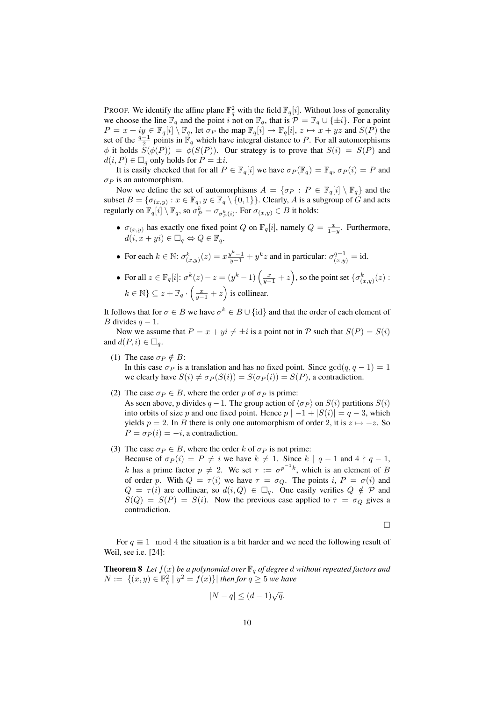PROOF. We identify the affine plane  $\mathbb{F}_q^2$  with the field  $\mathbb{F}_q[i]$ . Without loss of generality we choose the line  $\mathbb{F}_q$  and the point i not on  $\mathbb{F}_q$ , that is  $\mathcal{P} = \mathbb{F}_q \cup \{\pm i\}$ . For a point  $P = x + iy \in \mathbb{F}_q[i] \setminus \mathbb{F}_q$ , let  $\sigma_P$  the map  $\mathbb{F}_q[i] \to \mathbb{F}_q[i], z \mapsto x + yz$  and  $S(P)$  the set of the  $\frac{q-1}{2}$  points in  $\mathbb{F}_q$  which have integral distance to P. For all automorphisms  $\phi$  it holds  $\bar{S}(\phi(P)) = \bar{\phi}(S(P))$ . Our strategy is to prove that  $S(i) = S(P)$  and  $d(i, P) \in \Box_q$  only holds for  $P = \pm i$ .

It is easily checked that for all  $P \in \mathbb{F}_q[i]$  we have  $\sigma_P(\mathbb{F}_q) = \mathbb{F}_q$ ,  $\sigma_P(i) = P$  and  $\sigma_P$  is an automorphism.

Now we define the set of automorphisms  $A = \{\sigma_P : P \in \mathbb{F}_q[i] \setminus \mathbb{F}_q\}$  and the subset  $B = \{\sigma_{(x,y)} : x \in \mathbb{F}_q, y \in \mathbb{F}_q \setminus \{0,1\}\}\)$ . Clearly, A is a subgroup of  $G$  and acts regularly on  $\mathbb{F}_q[i] \setminus \mathbb{F}_q$ , so  $\sigma_P^k = \sigma_{\sigma_P^k(i)}$ . For  $\sigma_{(x,y)} \in B$  it holds:

- $\sigma_{(x,y)}$  has exactly one fixed point Q on  $\mathbb{F}_q[i]$ , namely  $Q = \frac{x}{1-y}$ . Furthermore,  $d(i, x + yi) \in \Box_q \Leftrightarrow Q \in \mathbb{F}_q$ .
- For each  $k \in \mathbb{N}$ :  $\sigma_{(x,y)}^k(z) = x \frac{y^k 1}{y 1} + y^k z$  and in particular:  $\sigma_{(x,y)}^{q-1} = id$ .
- For all  $z \in \mathbb{F}_q[i]$ :  $\sigma^k(z) z = (y^k 1) \left( \frac{x}{y-1} + z \right)$ , so the point set  $\{\sigma^k_{(x,y)}(z)$ :  $k \in \mathbb{N} \} \subseteq z + \mathbb{F}_q \cdot \left(\frac{x}{y-1} + z\right)$  is collinear.

It follows that for  $\sigma \in B$  we have  $\sigma^k \in B \cup \{\text{id}\}$  and that the order of each element of B divides  $q - 1$ .

Now we assume that  $P = x + yi \neq \pm i$  is a point not in P such that  $S(P) = S(i)$ and  $d(P, i) \in \Box_a$ .

- (1) The case  $\sigma_P \notin B$ : In this case  $\sigma_P$  is a translation and has no fixed point. Since  $gcd(q, q - 1) = 1$ we clearly have  $S(i) \neq \sigma_P(S(i)) = S(\sigma_P(i)) = S(P)$ , a contradiction.
- (2) The case  $\sigma_P \in B$ , where the order p of  $\sigma_P$  is prime: As seen above, p divides  $q-1$ . The group action of  $\langle \sigma_P \rangle$  on  $S(i)$  partitions  $S(i)$ into orbits of size p and one fixed point. Hence  $p \mid -1 + |S(i)| = q - 3$ , which yields  $p = 2$ . In B there is only one automorphism of order 2, it is  $z \mapsto -z$ . So  $P = \sigma_P(i) = -i$ , a contradiction.
- (3) The case  $\sigma_P \in B$ , where the order k of  $\sigma_P$  is not prime: Because of  $\sigma_P(i) = P \neq i$  we have  $k \neq 1$ . Since  $k | q-1$  and  $4 | q-1$ , k has a prime factor  $p \neq 2$ . We set  $\tau := \sigma^{p^{-1}k}$ , which is an element of B of order p. With  $Q = \tau(i)$  we have  $\tau = \sigma_Q$ . The points i,  $P = \sigma(i)$  and  $Q = \tau(i)$  are collinear, so  $d(i, Q) \in \Box_q$ . One easily verifies  $Q \notin \mathcal{P}$  and  $S(Q) = S(P) = S(i)$ . Now the previous case applied to  $\tau = \sigma_Q$  gives a contradiction.

 $\Box$ 

For  $q \equiv 1 \mod 4$  the situation is a bit harder and we need the following result of Weil, see i.e. [24]:

**Theorem 8** Let  $f(x)$  be a polynomial over  $\mathbb{F}_q$  of degree d without repeated factors and  $N := |\{(x, y) \in \mathbb{F}_q^2 \mid y^2 = f(x)\}|$  then for  $q \geq 5$  we have

$$
|N - q| \le (d - 1)\sqrt{q}.
$$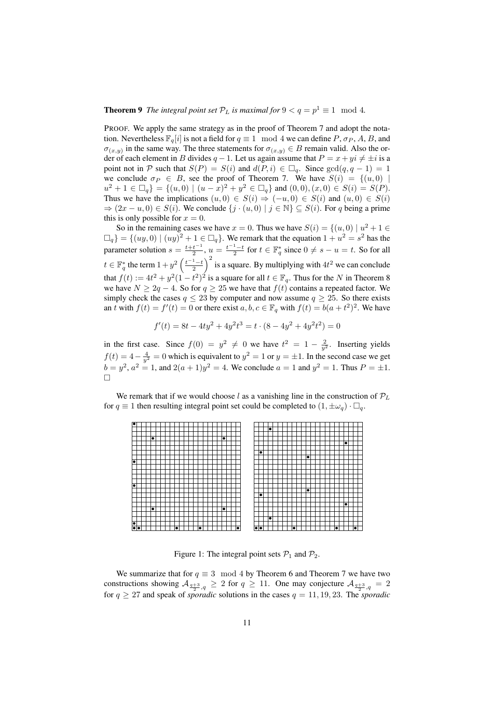## **Theorem 9** The integral point set  $\mathcal{P}_L$  is maximal for  $9 < q = p^1 \equiv 1 \mod 4$ .

PROOF. We apply the same strategy as in the proof of Theorem 7 and adopt the notation. Nevertheless  $\mathbb{F}_q[i]$  is not a field for  $q \equiv 1 \mod 4$  we can define P,  $\sigma_P$ , A, B, and  $\sigma_{(x,y)}$  in the same way. The three statements for  $\sigma_{(x,y)} \in B$  remain valid. Also the order of each element in B divides  $q - 1$ . Let us again assume that  $P = x + yi \neq \pm i$  is a point not in P such that  $S(P) = S(i)$  and  $d(P, i) \in \Box_q$ . Since  $gcd(q, q - 1) = 1$ we conclude  $\sigma_P \in B$ , see the proof of Theorem 7. We have  $S(i) = \{(u, 0) \mid$  $u^2 + 1 \in \Box_q$  = { $(u, 0) \mid (u - x)^2 + y^2 \in \Box_q$ } and  $(0, 0), (x, 0) \in S(i) = S(P)$ . Thus we have the implications  $(u, 0) \in S(i) \Rightarrow (-u, 0) \in S(i)$  and  $(u, 0) \in S(i)$  $\Rightarrow (2x - u, 0) \in S(i)$ . We conclude  $\{j \cdot (u, 0) \mid j \in \mathbb{N}\} \subseteq S(i)$ . For q being a prime this is only possible for  $x = 0$ .

So in the remaining cases we have  $x = 0$ . Thus we have  $S(i) = \{(u, 0) | u^2 + 1 \in$  $\Box_q$ } = { $(uy, 0) | (uy)^2 + 1 \in \Box_q$ }. We remark that the equation  $1 + u^2 = s^2$  has the parameter solution  $s = \frac{t+t^{-1}}{2}$  $\frac{t^{-1}}{2}$ ,  $u = \frac{t^{-1}-t}{2}$  for  $t \in \mathbb{F}_q^*$  since  $0 \neq s - u = t$ . So for all  $t \in \mathbb{F}_q^*$  the term  $1 + y^2 \left(\frac{t^{-1}-t}{2}\right)^2$  is a square. By multiplying with  $4t^2$  we can conclude that  $f(t) := 4t^2 + y^2(1-t^2)^2$  is a square for all  $t \in \mathbb{F}_q$ . Thus for the N in Theorem 8 we have  $N \ge 2q - 4$ . So for  $q \ge 25$  we have that  $f(t)$  contains a repeated factor. We simply check the cases  $q \leq 23$  by computer and now assume  $q \geq 25$ . So there exists an t with  $f(t) = f'(t) = 0$  or there exist  $a, b, c \in \mathbb{F}_q$  with  $f(t) = b(a + t^2)^2$ . We have

$$
f'(t) = 8t - 4ty^2 + 4y^2t^3 = t \cdot (8 - 4y^2 + 4y^2t^2) = 0
$$

in the first case. Since  $f(0) = y^2 \neq 0$  we have  $t^2 = 1 - \frac{2}{y^2}$ . Inserting yields  $f(t) = 4 - \frac{4}{y^2} = 0$  which is equivalent to  $y^2 = 1$  or  $y = \pm 1$ . In the second case we get  $b = y^2$ ,  $a^2 = 1$ , and  $2(a+1)y^2 = 4$ . We conclude  $a = 1$  and  $y^2 = 1$ . Thus  $P = \pm 1$ .  $\Box$ 

We remark that if we would choose l as a vanishing line in the construction of  $\mathcal{P}_L$ for  $q \equiv 1$  then resulting integral point set could be completed to  $(1, \pm \omega_q) \cdot \square_q$ .

| lo                   |  |    |  |  |           |  |  |  |           |  |  |           |  |           |  |                  |    |  |  |           |  |    |  |  |    |           |                          |  |
|----------------------|--|----|--|--|-----------|--|--|--|-----------|--|--|-----------|--|-----------|--|------------------|----|--|--|-----------|--|----|--|--|----|-----------|--------------------------|--|
|                      |  |    |  |  |           |  |  |  |           |  |  |           |  |           |  |                  | I۰ |  |  |           |  |    |  |  |    |           |                          |  |
|                      |  |    |  |  |           |  |  |  |           |  |  |           |  |           |  |                  |    |  |  |           |  |    |  |  |    |           |                          |  |
|                      |  | lo |  |  |           |  |  |  |           |  |  | o         |  |           |  |                  |    |  |  |           |  |    |  |  |    |           |                          |  |
|                      |  |    |  |  |           |  |  |  |           |  |  |           |  |           |  |                  |    |  |  |           |  |    |  |  |    | $\bullet$ |                          |  |
|                      |  |    |  |  |           |  |  |  |           |  |  |           |  |           |  |                  |    |  |  |           |  |    |  |  |    |           |                          |  |
|                      |  |    |  |  |           |  |  |  |           |  |  |           |  |           |  | lo               |    |  |  |           |  |    |  |  |    |           |                          |  |
|                      |  |    |  |  |           |  |  |  |           |  |  |           |  |           |  |                  |    |  |  |           |  | lo |  |  |    |           |                          |  |
| ▫                    |  |    |  |  |           |  |  |  |           |  |  |           |  |           |  |                  |    |  |  |           |  |    |  |  |    |           |                          |  |
|                      |  |    |  |  |           |  |  |  |           |  |  |           |  |           |  |                  |    |  |  |           |  |    |  |  |    |           |                          |  |
|                      |  |    |  |  |           |  |  |  |           |  |  |           |  |           |  |                  |    |  |  |           |  |    |  |  |    |           |                          |  |
|                      |  |    |  |  |           |  |  |  |           |  |  |           |  |           |  |                  |    |  |  |           |  |    |  |  |    |           |                          |  |
|                      |  |    |  |  |           |  |  |  |           |  |  |           |  |           |  |                  |    |  |  |           |  |    |  |  |    |           |                          |  |
|                      |  |    |  |  |           |  |  |  |           |  |  |           |  |           |  |                  |    |  |  |           |  |    |  |  |    |           |                          |  |
| lo                   |  |    |  |  |           |  |  |  |           |  |  |           |  |           |  |                  |    |  |  |           |  |    |  |  |    |           |                          |  |
|                      |  |    |  |  |           |  |  |  |           |  |  |           |  |           |  |                  |    |  |  |           |  | lo |  |  |    |           |                          |  |
|                      |  |    |  |  |           |  |  |  |           |  |  |           |  |           |  | lo               |    |  |  |           |  |    |  |  |    |           |                          |  |
|                      |  |    |  |  |           |  |  |  |           |  |  |           |  |           |  |                  |    |  |  |           |  |    |  |  |    |           |                          |  |
|                      |  |    |  |  |           |  |  |  |           |  |  |           |  |           |  |                  |    |  |  |           |  |    |  |  |    | o         |                          |  |
|                      |  | lo |  |  |           |  |  |  |           |  |  | $\bullet$ |  |           |  |                  |    |  |  |           |  |    |  |  |    |           |                          |  |
|                      |  |    |  |  |           |  |  |  |           |  |  |           |  |           |  |                  |    |  |  |           |  |    |  |  |    |           |                          |  |
|                      |  |    |  |  |           |  |  |  |           |  |  |           |  |           |  |                  | I۰ |  |  |           |  |    |  |  |    |           |                          |  |
| $\overline{\bullet}$ |  |    |  |  |           |  |  |  |           |  |  |           |  |           |  |                  |    |  |  |           |  |    |  |  |    |           |                          |  |
|                      |  |    |  |  | $\bullet$ |  |  |  | $\bullet$ |  |  |           |  | $\bullet$ |  | $\bullet\bullet$ |    |  |  | $\bullet$ |  |    |  |  | le |           | $\overline{\phantom{a}}$ |  |
| $\bullet \bullet$    |  |    |  |  |           |  |  |  |           |  |  |           |  |           |  |                  |    |  |  |           |  |    |  |  |    |           |                          |  |

Figure 1: The integral point sets  $P_1$  and  $P_2$ .

We summarize that for  $q \equiv 3 \mod 4$  by Theorem 6 and Theorem 7 we have two constructions showing  $A_{\frac{q+3}{2},q} \geq 2$  for  $q \geq 11$ . One may conjecture  $A_{\frac{q+3}{2},q} = 2$ for  $q \ge 27$  and speak of *sporadic* solutions in the cases  $q = 11, 19, 23$ . The *sporadic*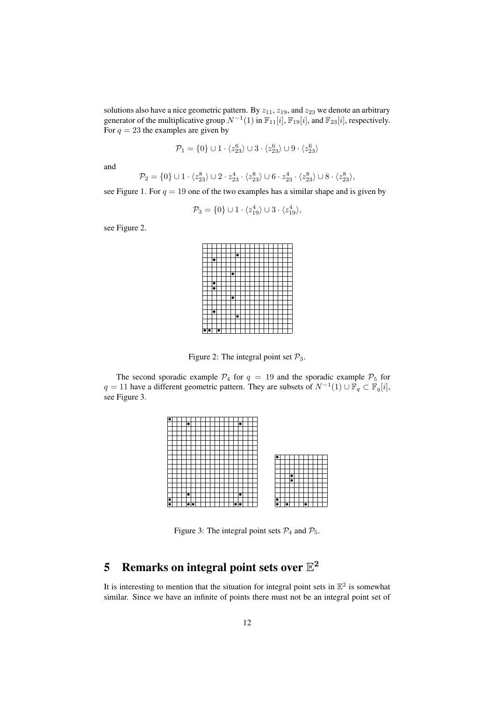solutions also have a nice geometric pattern. By  $z_{11}$ ,  $z_{19}$ , and  $z_{23}$  we denote an arbitrary generator of the multiplicative group  $N^{-1}(1)$  in  $\mathbb{F}_{11}[i]$ ,  $\mathbb{F}_{19}[i]$ , and  $\mathbb{F}_{23}[i]$ , respectively. For  $q = 23$  the examples are given by

$$
\mathcal{P}_1 = \{0\} \cup 1 \cdot \langle z_{23}^6 \rangle \cup 3 \cdot \langle z_{23}^6 \rangle \cup 9 \cdot \langle z_{23}^6 \rangle
$$

and

$$
\mathcal{P}_2 = \{0\} \cup 1 \cdot \langle z_{23}^8 \rangle \cup 2 \cdot z_{23}^4 \cdot \langle z_{23}^8 \rangle \cup 6 \cdot z_{23}^4 \cdot \langle z_{23}^8 \rangle \cup 8 \cdot \langle z_{23}^8 \rangle,
$$

see Figure 1. For  $q = 19$  one of the two examples has a similar shape and is given by

$$
\mathcal{P}_3 = \{0\} \cup 1 \cdot \langle z_{19}^4 \rangle \cup 3 \cdot \langle z_{19}^4 \rangle,
$$

see Figure 2.

| $\bullet$ |  |  |  |  |  |  |  |  |  |
|-----------|--|--|--|--|--|--|--|--|--|

Figure 2: The integral point set  $\mathcal{P}_3$ .

The second sporadic example  $\mathcal{P}_4$  for  $q = 19$  and the sporadic example  $\mathcal{P}_5$  for  $q = 11$  have a different geometric pattern. They are subsets of  $N^{-1}(1) \cup \overline{\mathbb{F}}_q \subset \mathbb{F}_q[i]$ , see Figure 3.

| ۱o                   |  |                    |  |  |  |  |  |           |  |  |
|----------------------|--|--------------------|--|--|--|--|--|-----------|--|--|
|                      |  | ٠                  |  |  |  |  |  | $\bullet$ |  |  |
|                      |  |                    |  |  |  |  |  |           |  |  |
|                      |  |                    |  |  |  |  |  |           |  |  |
|                      |  |                    |  |  |  |  |  |           |  |  |
|                      |  |                    |  |  |  |  |  |           |  |  |
|                      |  |                    |  |  |  |  |  |           |  |  |
|                      |  |                    |  |  |  |  |  |           |  |  |
|                      |  |                    |  |  |  |  |  |           |  |  |
|                      |  |                    |  |  |  |  |  |           |  |  |
|                      |  |                    |  |  |  |  |  |           |  |  |
|                      |  |                    |  |  |  |  |  |           |  |  |
|                      |  |                    |  |  |  |  |  |           |  |  |
|                      |  |                    |  |  |  |  |  |           |  |  |
|                      |  |                    |  |  |  |  |  |           |  |  |
|                      |  |                    |  |  |  |  |  |           |  |  |
|                      |  | ٠                  |  |  |  |  |  | ا کا      |  |  |
| $\overline{\bullet}$ |  |                    |  |  |  |  |  |           |  |  |
| $\overline{\bullet}$ |  | $\bullet  \bullet$ |  |  |  |  |  | ١è        |  |  |

Figure 3: The integral point sets  $P_4$  and  $P_5$ .

# 5 Remarks on integral point sets over  $\mathbb{E}^2$

It is interesting to mention that the situation for integral point sets in  $\mathbb{E}^2$  is somewhat similar. Since we have an infinite of points there must not be an integral point set of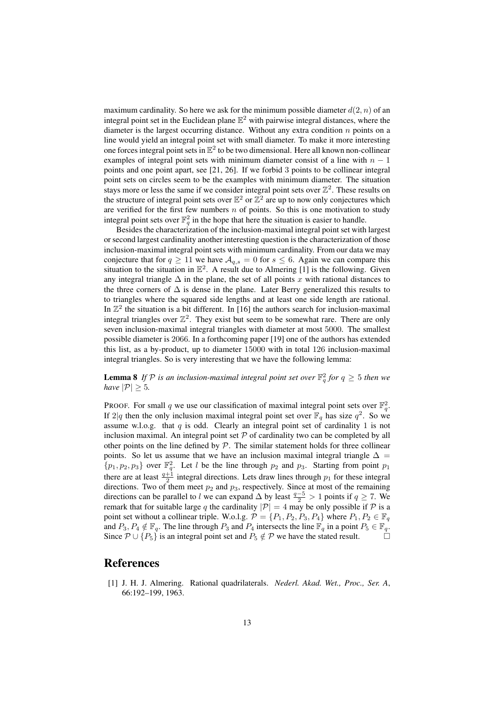maximum cardinality. So here we ask for the minimum possible diameter  $d(2, n)$  of an integral point set in the Euclidean plane  $\mathbb{E}^2$  with pairwise integral distances, where the diameter is the largest occurring distance. Without any extra condition  $n$  points on a line would yield an integral point set with small diameter. To make it more interesting one forces integral point sets in  $\mathbb{E}^2$  to be two dimensional. Here all known non-collinear examples of integral point sets with minimum diameter consist of a line with  $n - 1$ points and one point apart, see [21, 26]. If we forbid 3 points to be collinear integral point sets on circles seem to be the examples with minimum diameter. The situation stays more or less the same if we consider integral point sets over  $\mathbb{Z}^2$ . These results on the structure of integral point sets over  $\mathbb{E}^2$  or  $\mathbb{Z}^2$  are up to now only conjectures which are verified for the first few numbers  $n$  of points. So this is one motivation to study integral point sets over  $\mathbb{F}_q^2$  in the hope that here the situation is easier to handle.

Besides the characterization of the inclusion-maximal integral point set with largest or second largest cardinality another interesting question is the characterization of those inclusion-maximal integral point sets with minimum cardinality. From our data we may conjecture that for  $q \ge 11$  we have  $A_{q,s} = 0$  for  $s \le 6$ . Again we can compare this situation to the situation in  $\mathbb{E}^2$ . A result due to Almering [1] is the following. Given any integral triangle  $\Delta$  in the plane, the set of all points x with rational distances to the three corners of  $\Delta$  is dense in the plane. Later Berry generalized this results to to triangles where the squared side lengths and at least one side length are rational. In  $\mathbb{Z}^2$  the situation is a bit different. In [16] the authors search for inclusion-maximal integral triangles over  $\mathbb{Z}^2$ . They exist but seem to be somewhat rare. There are only seven inclusion-maximal integral triangles with diameter at most 5000. The smallest possible diameter is 2066. In a forthcoming paper [19] one of the authors has extended this list, as a by-product, up to diameter 15000 with in total 126 inclusion-maximal integral triangles. So is very interesting that we have the following lemma:

**Lemma 8** If  $P$  is an inclusion-maximal integral point set over  $\mathbb{F}_q^2$  for  $q \geq 5$  then we *have*  $|\mathcal{P}| \geq 5$ *.* 

PROOF. For small q we use our classification of maximal integral point sets over  $\mathbb{F}_q^2$ . If 2|q then the only inclusion maximal integral point set over  $\mathbb{F}_q$  has size  $q^2$ . So we assume w.l.o.g. that  $q$  is odd. Clearly an integral point set of cardinality 1 is not inclusion maximal. An integral point set  $P$  of cardinality two can be completed by all other points on the line defined by  $P$ . The similar statement holds for three collinear points. So let us assume that we have an inclusion maximal integral triangle  $\Delta =$  $\{p_1, p_2, p_3\}$  over  $\mathbb{F}_q^2$ . Let l be the line through  $p_2$  and  $p_3$ . Starting from point  $p_1$ there are at least  $\frac{q+1}{2}$  integral directions. Lets draw lines through  $p_1$  for these integral directions. Two of them meet  $p_2$  and  $p_3$ , respectively. Since at most of the remaining directions can be parallel to l we can expand  $\Delta$  by least  $\frac{q-5}{2} > 1$  points if  $q \ge 7$ . We remark that for suitable large q the cardinality  $|\mathcal{P}| = 4$  may be only possible if  $\mathcal P$  is a point set without a collinear triple. W.o.l.g.  $\mathcal{P} = \{P_1, P_2, P_3, P_4\}$  where  $P_1, P_2 \in \mathbb{F}_q$ and  $P_3, P_4 \notin \mathbb{F}_q$ . The line through  $P_3$  and  $P_4$  intersects the line  $\mathbb{F}_q$  in a point  $P_5 \in \mathbb{F}_q$ . Since  $\mathcal{P} \cup \{P_5\}$  is an integral point set and  $P_5 \notin \mathcal{P}$  we have the stated result.

## References

[1] J. H. J. Almering. Rational quadrilaterals. *Nederl. Akad. Wet., Proc., Ser. A*, 66:192–199, 1963.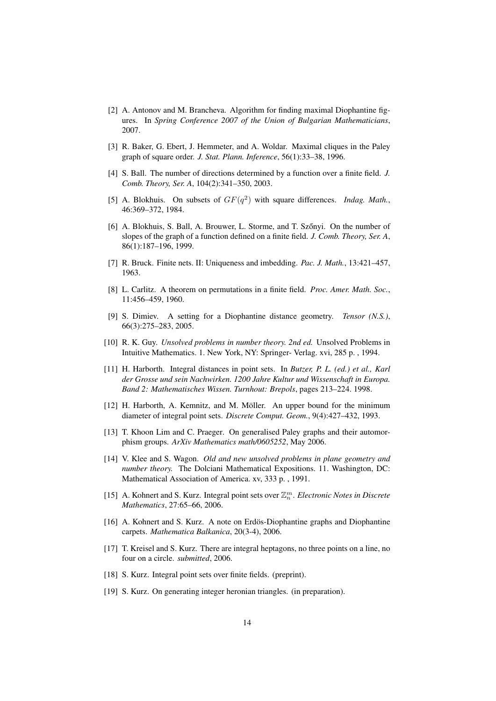- [2] A. Antonov and M. Brancheva. Algorithm for finding maximal Diophantine figures. In *Spring Conference 2007 of the Union of Bulgarian Mathematicians*, 2007.
- [3] R. Baker, G. Ebert, J. Hemmeter, and A. Woldar. Maximal cliques in the Paley graph of square order. *J. Stat. Plann. Inference*, 56(1):33–38, 1996.
- [4] S. Ball. The number of directions determined by a function over a finite field. *J. Comb. Theory, Ser. A*, 104(2):341–350, 2003.
- [5] A. Blokhuis. On subsets of  $GF(q^2)$  with square differences. *Indag. Math.*, 46:369–372, 1984.
- [6] A. Blokhuis, S. Ball, A. Brouwer, L. Storme, and T. Szőnyi. On the number of slopes of the graph of a function defined on a finite field. *J. Comb. Theory, Ser. A*, 86(1):187–196, 1999.
- [7] R. Bruck. Finite nets. II: Uniqueness and imbedding. *Pac. J. Math.*, 13:421–457, 1963.
- [8] L. Carlitz. A theorem on permutations in a finite field. *Proc. Amer. Math. Soc.*, 11:456–459, 1960.
- [9] S. Dimiev. A setting for a Diophantine distance geometry. *Tensor (N.S.)*, 66(3):275–283, 2005.
- [10] R. K. Guy. *Unsolved problems in number theory. 2nd ed.* Unsolved Problems in Intuitive Mathematics. 1. New York, NY: Springer- Verlag. xvi, 285 p. , 1994.
- [11] H. Harborth. Integral distances in point sets. In *Butzer, P. L. (ed.) et al., Karl der Grosse und sein Nachwirken. 1200 Jahre Kultur und Wissenschaft in Europa. Band 2: Mathematisches Wissen. Turnhout: Brepols*, pages 213–224. 1998.
- [12] H. Harborth, A. Kemnitz, and M. Möller. An upper bound for the minimum diameter of integral point sets. *Discrete Comput. Geom.*, 9(4):427–432, 1993.
- [13] T. Khoon Lim and C. Praeger. On generalised Paley graphs and their automorphism groups. *ArXiv Mathematics math/0605252*, May 2006.
- [14] V. Klee and S. Wagon. *Old and new unsolved problems in plane geometry and number theory.* The Dolciani Mathematical Expositions. 11. Washington, DC: Mathematical Association of America. xv, 333 p. , 1991.
- [15] A. Kohnert and S. Kurz. Integral point sets over Z m n . *Electronic Notes in Discrete Mathematics*, 27:65–66, 2006.
- [16] A. Kohnert and S. Kurz. A note on Erdös-Diophantine graphs and Diophantine carpets. *Mathematica Balkanica*, 20(3-4), 2006.
- [17] T. Kreisel and S. Kurz. There are integral heptagons, no three points on a line, no four on a circle. *submitted*, 2006.
- [18] S. Kurz. Integral point sets over finite fields. (preprint).
- [19] S. Kurz. On generating integer heronian triangles. (in preparation).